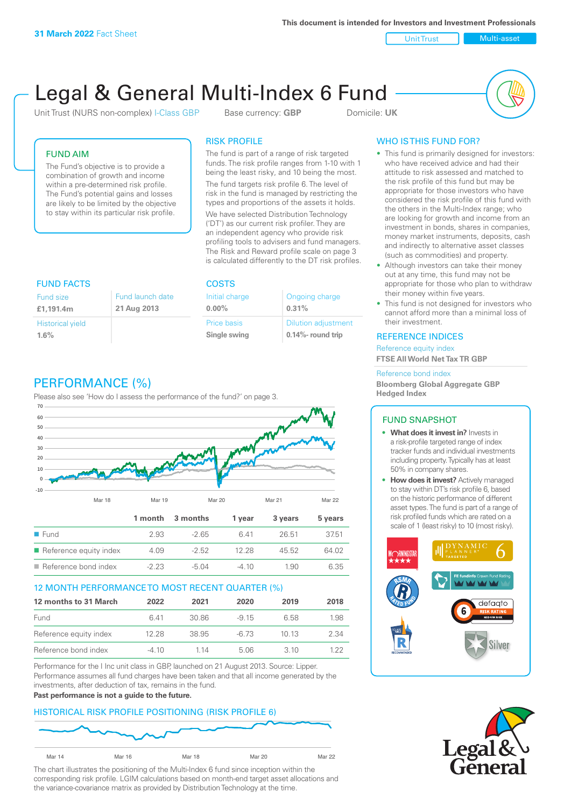**This document is intended for Investors and Investment Professionals**

Unit Trust Nulti-asset

# Legal & General Multi-Index 6 Fund

Unit Trust (NURS non-complex) I-Class GBP Base currency: **GBP** Domicile: UK



## FUND AIM

The Fund's objective is to provide a combination of growth and income within a pre-determined risk profile. The Fund's potential gains and losses are likely to be limited by the objective to stay within its particular risk profile.

### RISK PROFILE

The fund is part of a range of risk targeted funds. The risk profile ranges from 1-10 with 1 being the least risky, and 10 being the most.

The fund targets risk profile 6. The level of risk in the fund is managed by restricting the types and proportions of the assets it holds. We have selected Distribution Technology ('DT') as our current risk profiler. They are an independent agency who provide risk profiling tools to advisers and fund managers. The Risk and Reward profile scale on page 3 is calculated differently to the DT risk profiles.

| <b>FUND FACTS</b>       |                  | <b>COSTS</b>   |                            |
|-------------------------|------------------|----------------|----------------------------|
| <b>Fund size</b>        | Fund launch date | Initial charge | Ongoing charge             |
| £1.191.4m               | 21 Aug 2013      | $0.00\%$       | 0.31%                      |
| <b>Historical yield</b> |                  | Price basis    | <b>Dilution adjustment</b> |
| 1.6%                    |                  | Single swing   | $0.14\%$ - round trip      |

# PERFORMANCE (%)

Please also see 'How do I assess the performance of the fund?' on page 3.



#### 12 MONTH PERFORMANCE TO MOST RECENT QUARTER (%)

| 12 months to 31 March  | 2022    | 2021  | 2020   | 2019  | 2018 |
|------------------------|---------|-------|--------|-------|------|
| Fund                   | 641     | 30.86 | $-915$ | 6.58  | 1.98 |
| Reference equity index | 12.28   | 38.95 | $-673$ | 10 13 | 2.34 |
| Reference bond index   | $-4.10$ | 1 14  | 5.06   | 310   | 1 22 |

Performance for the I Inc unit class in GBP, launched on 21 August 2013. Source: Lipper. Performance assumes all fund charges have been taken and that all income generated by the investments, after deduction of tax, remains in the fund.

#### **Past performance is not a guide to the future.**

## HISTORICAL RISK PROFILE POSITIONING (RISK PROFILE 6)



The chart illustrates the positioning of the Multi-Index 6 fund since inception within the corresponding risk profile. LGIM calculations based on month-end target asset allocations and the variance-covariance matrix as provided by Distribution Technology at the time.

# WHO IS THIS FUND FOR?

- This fund is primarily designed for investors: who have received advice and had their attitude to risk assessed and matched to the risk profile of this fund but may be appropriate for those investors who have considered the risk profile of this fund with the others in the Multi-Index range; who are looking for growth and income from an investment in bonds, shares in companies, money market instruments, deposits, cash and indirectly to alternative asset classes (such as commodities) and property.
- Although investors can take their money out at any time, this fund may not be appropriate for those who plan to withdraw their money within five years.
- This fund is not designed for investors who cannot afford more than a minimal loss of their investment.

#### REFERENCE INDICES

Reference equity index **FTSE All World Net Tax TR GBP**

#### Reference bond index

**Bloomberg Global Aggregate GBP Hedged Index**

## FUND SNAPSHOT

- **• What does it invest in?** Invests in a risk-profile targeted range of index tracker funds and individual investments including property. Typically has at least 50% in company shares.
- **• How does it invest?** Actively managed to stay within DT's risk profile 6, based on the historic performance of different asset types. The fund is part of a range of risk profiled funds which are rated on a scale of 1 (least risky) to 10 (most risky).



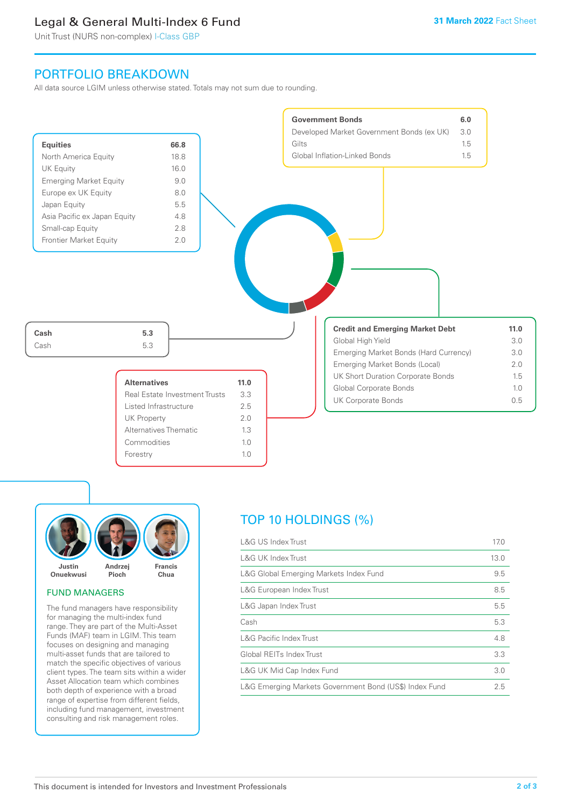# Legal & General Multi-Index 6 Fund

Unit Trust (NURS non-complex) I-Class GBP

# PORTFOLIO BREAKDOWN

All data source LGIM unless otherwise stated. Totals may not sum due to rounding.





#### FUND MANAGERS

The fund managers have responsibility for managing the multi-index fund range. They are part of the Multi-Asset Funds (MAF) team in LGIM. This team focuses on designing and managing multi-asset funds that are tailored to match the specific objectives of various client types. The team sits within a wider Asset Allocation team which combines both depth of experience with a broad range of expertise from different fields, including fund management, investment consulting and risk management roles.

# TOP 10 HOLDINGS (%)

| <b>L&amp;G US Index Trust</b>                          | 17.0 |
|--------------------------------------------------------|------|
| <b>L&amp;G UK Index Trust</b>                          | 13.0 |
| L&G Global Emerging Markets Index Fund                 | 9.5  |
| L&G European Index Trust                               | 8.5  |
| L&G Japan Index Trust                                  | 5.5  |
| Cash                                                   | 5.3  |
| <b>L&amp;G Pacific Index Trust</b>                     | 4.8  |
| Global REITs Index Trust                               | 3.3  |
| L&G UK Mid Cap Index Fund                              | 3.0  |
| L&G Emerging Markets Government Bond (US\$) Index Fund | 2.5  |